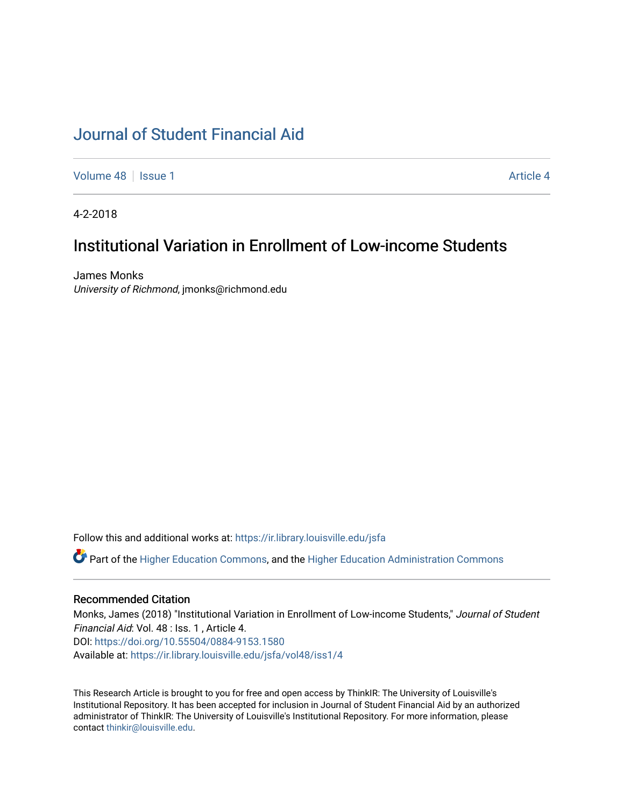# [Journal of Student Financial Aid](https://ir.library.louisville.edu/jsfa)

[Volume 48](https://ir.library.louisville.edu/jsfa/vol48) | [Issue 1](https://ir.library.louisville.edu/jsfa/vol48/iss1) [Article 4](https://ir.library.louisville.edu/jsfa/vol48/iss1/4) Article 4

4-2-2018

# Institutional Variation in Enrollment of Low-income Students

James Monks University of Richmond, jmonks@richmond.edu

Follow this and additional works at: [https://ir.library.louisville.edu/jsfa](https://ir.library.louisville.edu/jsfa?utm_source=ir.library.louisville.edu%2Fjsfa%2Fvol48%2Fiss1%2F4&utm_medium=PDF&utm_campaign=PDFCoverPages) 

Part of the [Higher Education Commons,](http://network.bepress.com/hgg/discipline/1245?utm_source=ir.library.louisville.edu%2Fjsfa%2Fvol48%2Fiss1%2F4&utm_medium=PDF&utm_campaign=PDFCoverPages) and the [Higher Education Administration Commons](http://network.bepress.com/hgg/discipline/791?utm_source=ir.library.louisville.edu%2Fjsfa%2Fvol48%2Fiss1%2F4&utm_medium=PDF&utm_campaign=PDFCoverPages) 

#### Recommended Citation

Monks, James (2018) "Institutional Variation in Enrollment of Low-income Students," Journal of Student Financial Aid: Vol. 48 : Iss. 1 , Article 4. DOI:<https://doi.org/10.55504/0884-9153.1580> Available at: [https://ir.library.louisville.edu/jsfa/vol48/iss1/4](https://ir.library.louisville.edu/jsfa/vol48/iss1/4?utm_source=ir.library.louisville.edu%2Fjsfa%2Fvol48%2Fiss1%2F4&utm_medium=PDF&utm_campaign=PDFCoverPages) 

This Research Article is brought to you for free and open access by ThinkIR: The University of Louisville's Institutional Repository. It has been accepted for inclusion in Journal of Student Financial Aid by an authorized administrator of ThinkIR: The University of Louisville's Institutional Repository. For more information, please contact [thinkir@louisville.edu](mailto:thinkir@louisville.edu).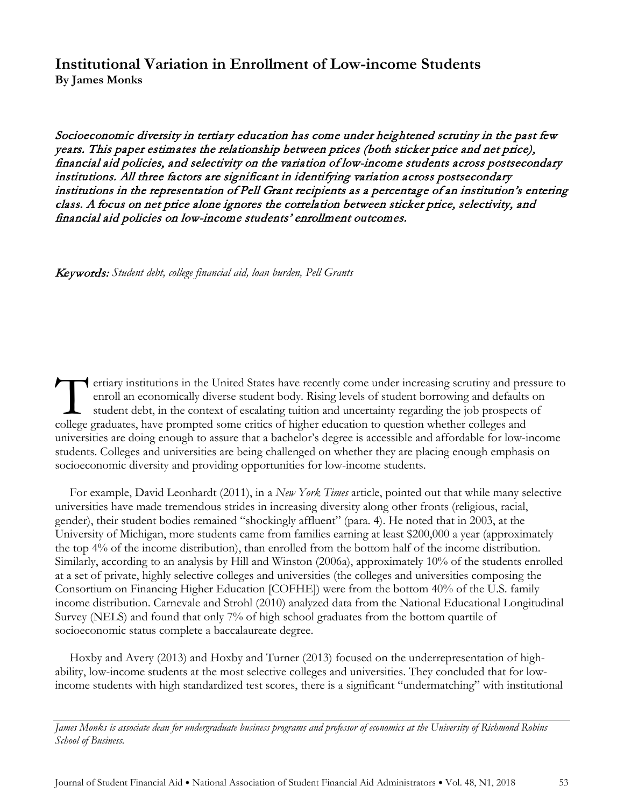# **Institutional Variation in Enrollment of Low-income Students By James Monks**

Socioeconomic diversity in tertiary education has come under heightened scrutiny in the past few years. This paper estimates the relationship between prices (both sticker price and net price), financial aid policies, and selectivity on the variation of low-income students across postsecondary institutions. All three factors are significant in identifying variation across postsecondary institutions in the representation of Pell Grant recipients as a percentage of an institution's entering class. A focus on net price alone ignores the correlation between sticker price, selectivity, and financial aid policies on low-income students' enrollment outcomes.

Keywords: *Student debt, college financial aid, loan burden, Pell Grants*

ertiary institutions in the United States have recently come under increasing scrutiny and pressure to enroll an economically diverse student body. Rising levels of student borrowing and defaults on student debt, in the context of escalating tuition and uncertainty regarding the job prospects of ertiary institutions in the United States have recently come under increasing scrutiny and pre enroll an economically diverse student body. Rising levels of student borrowing and defaults student debt, in the context of es universities are doing enough to assure that a bachelor's degree is accessible and affordable for low-income students. Colleges and universities are being challenged on whether they are placing enough emphasis on socioeconomic diversity and providing opportunities for low-income students.

For example, David Leonhardt (2011), in a *New York Times* article, pointed out that while many selective universities have made tremendous strides in increasing diversity along other fronts (religious, racial, gender), their student bodies remained "shockingly affluent" (para. 4). He noted that in 2003, at the University of Michigan, more students came from families earning at least \$200,000 a year (approximately the top 4% of the income distribution), than enrolled from the bottom half of the income distribution. Similarly, according to an analysis by Hill and Winston (2006a), approximately 10% of the students enrolled at a set of private, highly selective colleges and universities (the colleges and universities composing the Consortium on Financing Higher Education [COFHE]) were from the bottom 40% of the U.S. family income distribution. Carnevale and Strohl (2010) analyzed data from the National Educational Longitudinal Survey (NELS) and found that only 7% of high school graduates from the bottom quartile of socioeconomic status complete a baccalaureate degree.

Hoxby and Avery (2013) and Hoxby and Turner (2013) focused on the underrepresentation of highability, low-income students at the most selective colleges and universities. They concluded that for lowincome students with high standardized test scores, there is a significant "undermatching" with institutional

*James Monks is associate dean for undergraduate business programs and professor of economics at the University of Richmond Robins School of Business.*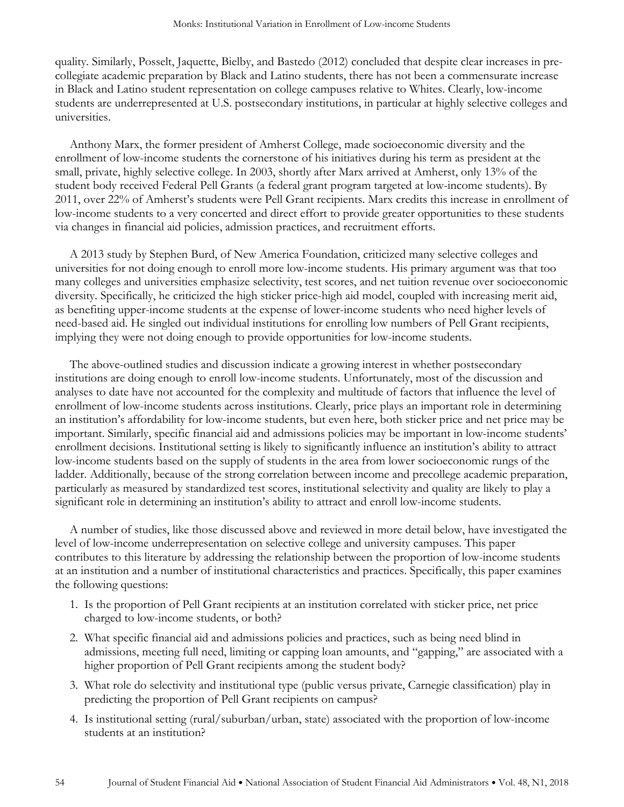quality. Similarly, Posselt, Jaquette, Bielby, and Bastedo (2012) concluded that despite clear increases in precollegiate academic preparation by Black and Latino students, there has not been a commensurate increase in Black and Latino student representation on college campuses relative to Whites. Clearly, low-income students are underrepresented at U.S. postsecondary institutions, in particular at highly selective colleges and universities.

Anthony Marx, the former president of Amherst College, made socioeconomic diversity and the enrollment of low-income students the cornerstone of his initiatives during his term as president at the small, private, highly selective college. In 2003, shortly after Marx arrived at Amherst, only 13% of the student body received Federal Pell Grants (a federal grant program targeted at low-income students). By 2011, over 22% of Amherst's students were Pell Grant recipients. Marx credits this increase in enrollment of low-income students to a very concerted and direct effort to provide greater opportunities to these students via changes in financial aid policies, admission practices, and recruitment efforts.

A 2013 study by Stephen Burd, of New America Foundation, criticized many selective colleges and universities for not doing enough to enroll more low-income students. His primary argument was that too many colleges and universities emphasize selectivity, test scores, and net tuition revenue over socioeconomic diversity. Specifically, he criticized the high sticker price-high aid model, coupled with increasing merit aid, as benefiting upper-income students at the expense of lower-income students who need higher levels of need-based aid. He singled out individual institutions for enrolling low numbers of Pell Grant recipients, implying they were not doing enough to provide opportunities for low-income students.

The above-outlined studies and discussion indicate a growing interest in whether postsecondary institutions are doing enough to enroll low-income students. Unfortunately, most of the discussion and analyses to date have not accounted for the complexity and multitude of factors that influence the level of enrollment of low-income students across institutions. Clearly, price plays an important role in determining an institution's affordability for low-income students, but even here, both sticker price and net price may be important. Similarly, specific financial aid and admissions policies may be important in low-income students' enrollment decisions. Institutional setting is likely to significantly influence an institution's ability to attract low-income students based on the supply of students in the area from lower socioeconomic rungs of the ladder. Additionally, because of the strong correlation between income and precollege academic preparation, particularly as measured by standardized test scores, institutional selectivity and quality are likely to play a significant role in determining an institution's ability to attract and enroll low-income students.

A number of studies, like those discussed above and reviewed in more detail below, have investigated the level of low-income underrepresentation on selective college and university campuses. This paper contributes to this literature by addressing the relationship between the proportion of low-income students at an institution and a number of institutional characteristics and practices. Specifically, this paper examines the following questions:

- 1. Is the proportion of Pell Grant recipients at an institution correlated with sticker price, net price charged to low-income students, or both?
- 2. What specific financial aid and admissions policies and practices, such as being need blind in admissions, meeting full need, limiting or capping loan amounts, and "gapping," are associated with a higher proportion of Pell Grant recipients among the student body?
- 3. What role do selectivity and institutional type (public versus private, Carnegie classification) play in predicting the proportion of Pell Grant recipients on campus?
- 4. Is institutional setting (rural/suburban/urban, state) associated with the proportion of low-income students at an institution?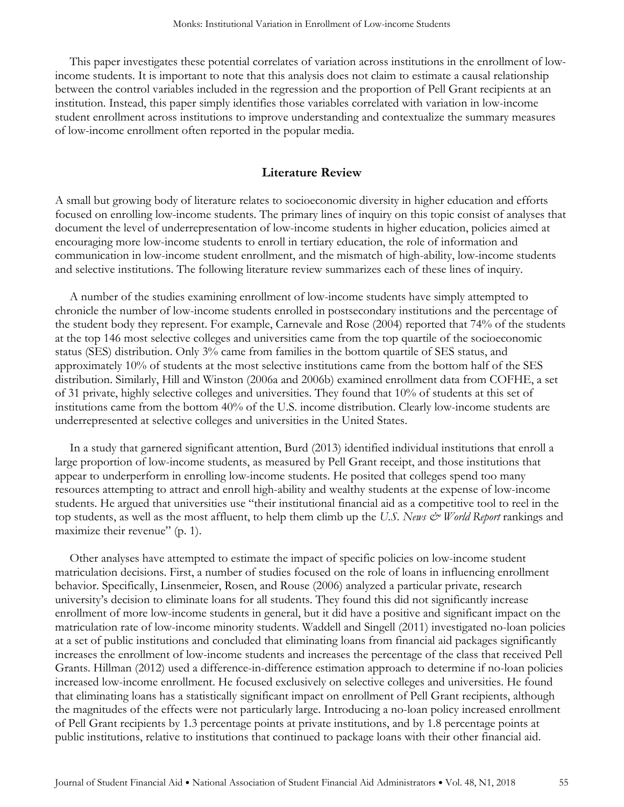This paper investigates these potential correlates of variation across institutions in the enrollment of lowincome students. It is important to note that this analysis does not claim to estimate a causal relationship between the control variables included in the regression and the proportion of Pell Grant recipients at an institution. Instead, this paper simply identifies those variables correlated with variation in low-income student enrollment across institutions to improve understanding and contextualize the summary measures of low-income enrollment often reported in the popular media.

#### **Literature Review**

A small but growing body of literature relates to socioeconomic diversity in higher education and efforts focused on enrolling low-income students. The primary lines of inquiry on this topic consist of analyses that document the level of underrepresentation of low-income students in higher education, policies aimed at encouraging more low-income students to enroll in tertiary education, the role of information and communication in low-income student enrollment, and the mismatch of high-ability, low-income students and selective institutions. The following literature review summarizes each of these lines of inquiry.

A number of the studies examining enrollment of low-income students have simply attempted to chronicle the number of low-income students enrolled in postsecondary institutions and the percentage of the student body they represent. For example, Carnevale and Rose (2004) reported that 74% of the students at the top 146 most selective colleges and universities came from the top quartile of the socioeconomic status (SES) distribution. Only 3% came from families in the bottom quartile of SES status, and approximately 10% of students at the most selective institutions came from the bottom half of the SES distribution. Similarly, Hill and Winston (2006a and 2006b) examined enrollment data from COFHE, a set of 31 private, highly selective colleges and universities. They found that 10% of students at this set of institutions came from the bottom 40% of the U.S. income distribution. Clearly low-income students are underrepresented at selective colleges and universities in the United States.

In a study that garnered significant attention, Burd (2013) identified individual institutions that enroll a large proportion of low-income students, as measured by Pell Grant receipt, and those institutions that appear to underperform in enrolling low-income students. He posited that colleges spend too many resources attempting to attract and enroll high-ability and wealthy students at the expense of low-income students. He argued that universities use "their institutional financial aid as a competitive tool to reel in the top students, as well as the most affluent, to help them climb up the *U.S. News & World Report* rankings and maximize their revenue" (p. 1).

Other analyses have attempted to estimate the impact of specific policies on low-income student matriculation decisions. First, a number of studies focused on the role of loans in influencing enrollment behavior. Specifically, Linsenmeier, Rosen, and Rouse (2006) analyzed a particular private, research university's decision to eliminate loans for all students. They found this did not significantly increase enrollment of more low-income students in general, but it did have a positive and significant impact on the matriculation rate of low-income minority students. Waddell and Singell (2011) investigated no-loan policies at a set of public institutions and concluded that eliminating loans from financial aid packages significantly increases the enrollment of low-income students and increases the percentage of the class that received Pell Grants. Hillman (2012) used a difference-in-difference estimation approach to determine if no-loan policies increased low-income enrollment. He focused exclusively on selective colleges and universities. He found that eliminating loans has a statistically significant impact on enrollment of Pell Grant recipients, although the magnitudes of the effects were not particularly large. Introducing a no-loan policy increased enrollment of Pell Grant recipients by 1.3 percentage points at private institutions, and by 1.8 percentage points at public institutions, relative to institutions that continued to package loans with their other financial aid.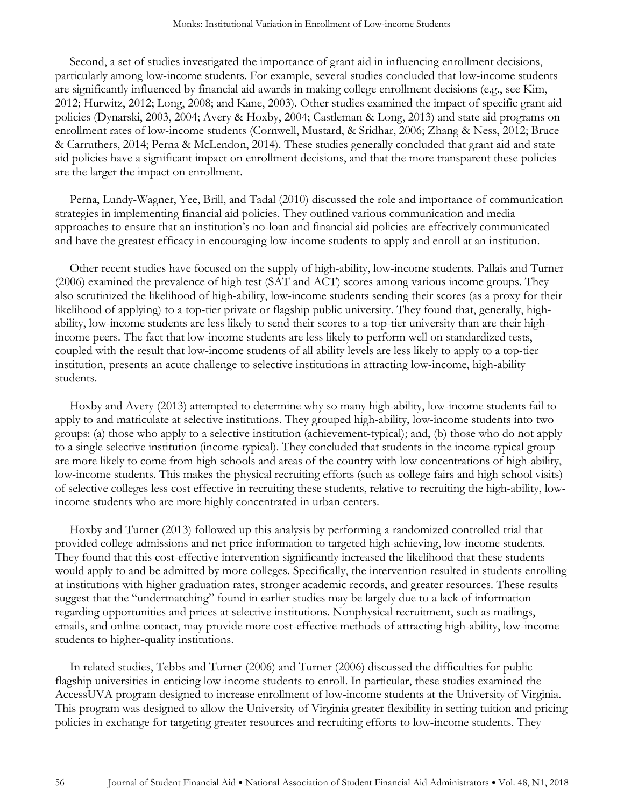Second, a set of studies investigated the importance of grant aid in influencing enrollment decisions, particularly among low-income students. For example, several studies concluded that low-income students are significantly influenced by financial aid awards in making college enrollment decisions (e.g., see Kim, 2012; Hurwitz, 2012; Long, 2008; and Kane, 2003). Other studies examined the impact of specific grant aid policies (Dynarski, 2003, 2004; Avery & Hoxby, 2004; Castleman & Long, 2013) and state aid programs on enrollment rates of low-income students (Cornwell, Mustard, & Sridhar, 2006; Zhang & Ness, 2012; Bruce & Carruthers, 2014; Perna & McLendon, 2014). These studies generally concluded that grant aid and state aid policies have a significant impact on enrollment decisions, and that the more transparent these policies are the larger the impact on enrollment.

Perna, Lundy-Wagner, Yee, Brill, and Tadal (2010) discussed the role and importance of communication strategies in implementing financial aid policies. They outlined various communication and media approaches to ensure that an institution's no-loan and financial aid policies are effectively communicated and have the greatest efficacy in encouraging low-income students to apply and enroll at an institution.

Other recent studies have focused on the supply of high-ability, low-income students. Pallais and Turner (2006) examined the prevalence of high test (SAT and ACT) scores among various income groups. They also scrutinized the likelihood of high-ability, low-income students sending their scores (as a proxy for their likelihood of applying) to a top-tier private or flagship public university. They found that, generally, highability, low-income students are less likely to send their scores to a top-tier university than are their highincome peers. The fact that low-income students are less likely to perform well on standardized tests, coupled with the result that low-income students of all ability levels are less likely to apply to a top-tier institution, presents an acute challenge to selective institutions in attracting low-income, high-ability students.

Hoxby and Avery (2013) attempted to determine why so many high-ability, low-income students fail to apply to and matriculate at selective institutions. They grouped high-ability, low-income students into two groups: (a) those who apply to a selective institution (achievement-typical); and, (b) those who do not apply to a single selective institution (income-typical). They concluded that students in the income-typical group are more likely to come from high schools and areas of the country with low concentrations of high-ability, low-income students. This makes the physical recruiting efforts (such as college fairs and high school visits) of selective colleges less cost effective in recruiting these students, relative to recruiting the high-ability, lowincome students who are more highly concentrated in urban centers.

Hoxby and Turner (2013) followed up this analysis by performing a randomized controlled trial that provided college admissions and net price information to targeted high-achieving, low-income students. They found that this cost-effective intervention significantly increased the likelihood that these students would apply to and be admitted by more colleges. Specifically, the intervention resulted in students enrolling at institutions with higher graduation rates, stronger academic records, and greater resources. These results suggest that the "undermatching" found in earlier studies may be largely due to a lack of information regarding opportunities and prices at selective institutions. Nonphysical recruitment, such as mailings, emails, and online contact, may provide more cost-effective methods of attracting high-ability, low-income students to higher-quality institutions.

In related studies, Tebbs and Turner (2006) and Turner (2006) discussed the difficulties for public flagship universities in enticing low-income students to enroll. In particular, these studies examined the AccessUVA program designed to increase enrollment of low-income students at the University of Virginia. This program was designed to allow the University of Virginia greater flexibility in setting tuition and pricing policies in exchange for targeting greater resources and recruiting efforts to low-income students. They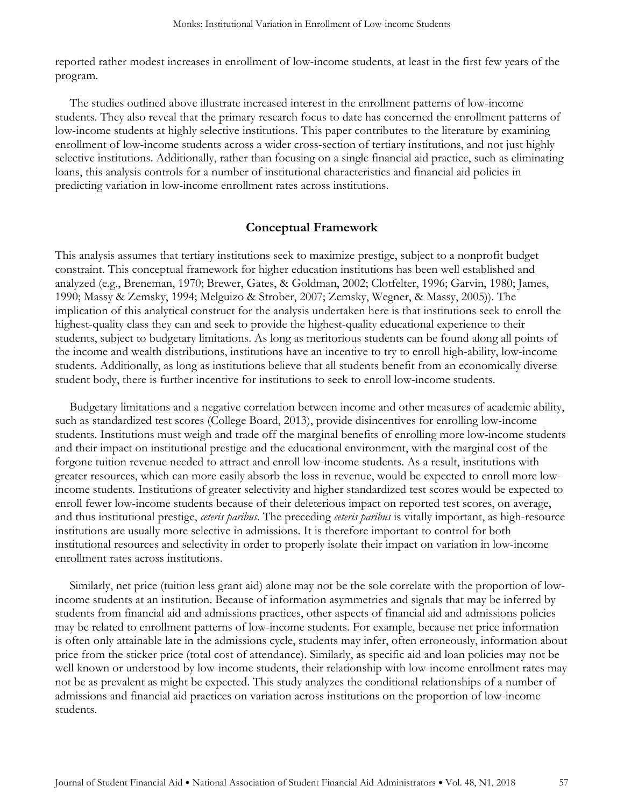reported rather modest increases in enrollment of low-income students, at least in the first few years of the program.

The studies outlined above illustrate increased interest in the enrollment patterns of low-income students. They also reveal that the primary research focus to date has concerned the enrollment patterns of low-income students at highly selective institutions. This paper contributes to the literature by examining enrollment of low-income students across a wider cross-section of tertiary institutions, and not just highly selective institutions. Additionally, rather than focusing on a single financial aid practice, such as eliminating loans, this analysis controls for a number of institutional characteristics and financial aid policies in predicting variation in low-income enrollment rates across institutions.

#### **Conceptual Framework**

This analysis assumes that tertiary institutions seek to maximize prestige, subject to a nonprofit budget constraint. This conceptual framework for higher education institutions has been well established and analyzed (e.g., Breneman, 1970; Brewer, Gates, & Goldman, 2002; Clotfelter, 1996; Garvin, 1980; James, 1990; Massy & Zemsky, 1994; Melguizo & Strober, 2007; Zemsky, Wegner, & Massy, 2005)). The implication of this analytical construct for the analysis undertaken here is that institutions seek to enroll the highest-quality class they can and seek to provide the highest-quality educational experience to their students, subject to budgetary limitations. As long as meritorious students can be found along all points of the income and wealth distributions, institutions have an incentive to try to enroll high-ability, low-income students. Additionally, as long as institutions believe that all students benefit from an economically diverse student body, there is further incentive for institutions to seek to enroll low-income students.

Budgetary limitations and a negative correlation between income and other measures of academic ability, such as standardized test scores (College Board, 2013), provide disincentives for enrolling low-income students. Institutions must weigh and trade off the marginal benefits of enrolling more low-income students and their impact on institutional prestige and the educational environment, with the marginal cost of the forgone tuition revenue needed to attract and enroll low-income students. As a result, institutions with greater resources, which can more easily absorb the loss in revenue, would be expected to enroll more lowincome students. Institutions of greater selectivity and higher standardized test scores would be expected to enroll fewer low-income students because of their deleterious impact on reported test scores, on average, and thus institutional prestige, *ceteris paribus*. The preceding *ceteris paribus* is vitally important, as high-resource institutions are usually more selective in admissions. It is therefore important to control for both institutional resources and selectivity in order to properly isolate their impact on variation in low-income enrollment rates across institutions.

Similarly, net price (tuition less grant aid) alone may not be the sole correlate with the proportion of lowincome students at an institution. Because of information asymmetries and signals that may be inferred by students from financial aid and admissions practices, other aspects of financial aid and admissions policies may be related to enrollment patterns of low-income students. For example, because net price information is often only attainable late in the admissions cycle, students may infer, often erroneously, information about price from the sticker price (total cost of attendance). Similarly, as specific aid and loan policies may not be well known or understood by low-income students, their relationship with low-income enrollment rates may not be as prevalent as might be expected. This study analyzes the conditional relationships of a number of admissions and financial aid practices on variation across institutions on the proportion of low-income students.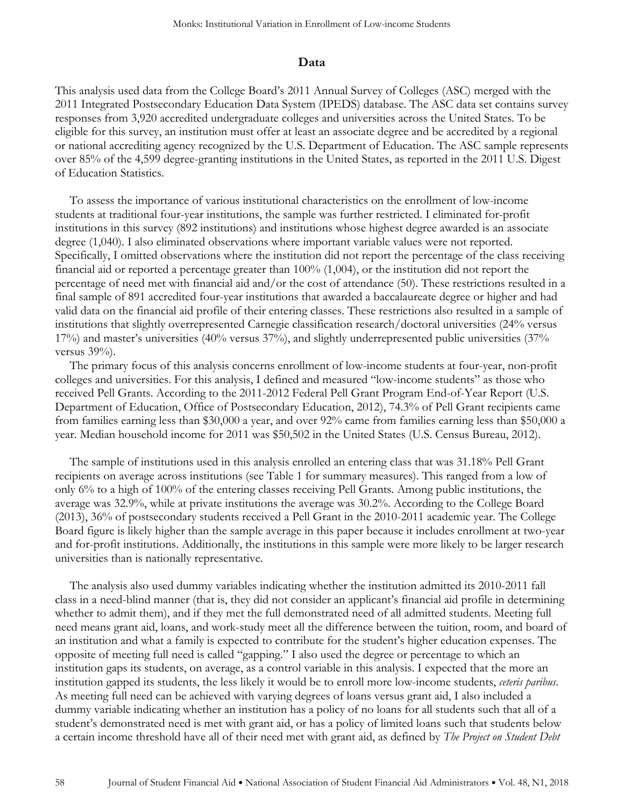#### **Data**

This analysis used data from the College Board's 2011 Annual Survey of Colleges (ASC) merged with the 2011 Integrated Postsecondary Education Data System (IPEDS) database. The ASC data set contains survey responses from 3,920 accredited undergraduate colleges and universities across the United States. To be eligible for this survey, an institution must offer at least an associate degree and be accredited by a regional or national accrediting agency recognized by the U.S. Department of Education. The ASC sample represents over 85% of the 4,599 degree-granting institutions in the United States, as reported in the 2011 U.S. Digest of Education Statistics.

To assess the importance of various institutional characteristics on the enrollment of low-income students at traditional four-year institutions, the sample was further restricted. I eliminated for-profit institutions in this survey (892 institutions) and institutions whose highest degree awarded is an associate degree (1,040). I also eliminated observations where important variable values were not reported. Specifically, I omitted observations where the institution did not report the percentage of the class receiving financial aid or reported a percentage greater than 100% (1,004), or the institution did not report the percentage of need met with financial aid and/or the cost of attendance (50). These restrictions resulted in a final sample of 891 accredited four-year institutions that awarded a baccalaureate degree or higher and had valid data on the financial aid profile of their entering classes. These restrictions also resulted in a sample of institutions that slightly overrepresented Carnegie classification research/doctoral universities (24% versus 17%) and master's universities (40% versus 37%), and slightly underrepresented public universities (37% versus 39%).

The primary focus of this analysis concerns enrollment of low-income students at four-year, non-profit colleges and universities. For this analysis, I defined and measured "low-income students" as those who received Pell Grants. According to the 2011-2012 Federal Pell Grant Program End-of-Year Report (U.S. Department of Education, Office of Postsecondary Education, 2012), 74.3% of Pell Grant recipients came from families earning less than \$30,000 a year, and over 92% came from families earning less than \$50,000 a year. Median household income for 2011 was \$50,502 in the United States (U.S. Census Bureau, 2012).

The sample of institutions used in this analysis enrolled an entering class that was 31.18% Pell Grant recipients on average across institutions (see Table 1 for summary measures). This ranged from a low of only 6% to a high of 100% of the entering classes receiving Pell Grants. Among public institutions, the average was 32.9%, while at private institutions the average was 30.2%. According to the College Board (2013), 36% of postsecondary students received a Pell Grant in the 2010-2011 academic year. The College Board figure is likely higher than the sample average in this paper because it includes enrollment at two-year and for-profit institutions. Additionally, the institutions in this sample were more likely to be larger research universities than is nationally representative.

The analysis also used dummy variables indicating whether the institution admitted its 2010-2011 fall class in a need-blind manner (that is, they did not consider an applicant's financial aid profile in determining whether to admit them), and if they met the full demonstrated need of all admitted students. Meeting full need means grant aid, loans, and work-study meet all the difference between the tuition, room, and board of an institution and what a family is expected to contribute for the student's higher education expenses. The opposite of meeting full need is called "gapping." I also used the degree or percentage to which an institution gaps its students, on average, as a control variable in this analysis. I expected that the more an institution gapped its students, the less likely it would be to enroll more low-income students, *ceteris paribus*. As meeting full need can be achieved with varying degrees of loans versus grant aid, I also included a dummy variable indicating whether an institution has a policy of no loans for all students such that all of a student's demonstrated need is met with grant aid, or has a policy of limited loans such that students below a certain income threshold have all of their need met with grant aid, as defined by *The Project on Student Debt*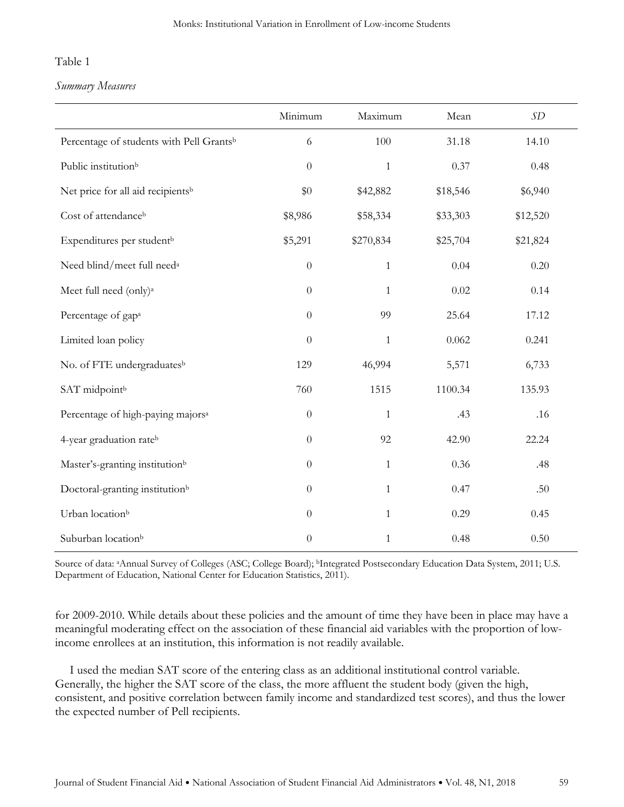## Table 1

#### *Summary Measures*

|                                                      | Minimum          | Maximum      | Mean     | SD       |
|------------------------------------------------------|------------------|--------------|----------|----------|
| Percentage of students with Pell Grants <sup>b</sup> | 6                | 100          | 31.18    | 14.10    |
| Public institution <sup>b</sup>                      | $\boldsymbol{0}$ | $\mathbf{1}$ | 0.37     | 0.48     |
| Net price for all aid recipients <sup>b</sup>        | \$0              | \$42,882     | \$18,546 | \$6,940  |
| Cost of attendance <sup>b</sup>                      | \$8,986          | \$58,334     | \$33,303 | \$12,520 |
| Expenditures per student <sup>b</sup>                | \$5,291          | \$270,834    | \$25,704 | \$21,824 |
| Need blind/meet full need <sup>a</sup>               | $\boldsymbol{0}$ | $\mathbf{1}$ | 0.04     | 0.20     |
| Meet full need (only) <sup>a</sup>                   | $\boldsymbol{0}$ | $\mathbf{1}$ | 0.02     | 0.14     |
| Percentage of gap <sup>a</sup>                       | $\boldsymbol{0}$ | 99           | 25.64    | 17.12    |
| Limited loan policy                                  | $\boldsymbol{0}$ | $\mathbf{1}$ | 0.062    | 0.241    |
| No. of FTE undergraduatesb                           | 129              | 46,994       | 5,571    | 6,733    |
| SAT midpointb                                        | 760              | 1515         | 1100.34  | 135.93   |
| Percentage of high-paying majors <sup>a</sup>        | $\theta$         | $\mathbf{1}$ | .43      | .16      |
| 4-year graduation rateb                              | $\theta$         | 92           | 42.90    | 22.24    |
| Master's-granting institution <sup>b</sup>           | $\boldsymbol{0}$ | $\mathbf{1}$ | 0.36     | .48      |
| Doctoral-granting institution <sup>b</sup>           | $\boldsymbol{0}$ | $\mathbf{1}$ | 0.47     | .50      |
| Urban location <sup>b</sup>                          | $\boldsymbol{0}$ | $\mathbf{1}$ | 0.29     | 0.45     |
| Suburban location <sup>b</sup>                       | $\boldsymbol{0}$ | $\mathbf{1}$ | 0.48     | 0.50     |

Source of data: aAnnual Survey of Colleges (ASC; College Board); bIntegrated Postsecondary Education Data System, 2011; U.S. Department of Education, National Center for Education Statistics, 2011).

for 2009-2010. While details about these policies and the amount of time they have been in place may have a meaningful moderating effect on the association of these financial aid variables with the proportion of lowincome enrollees at an institution, this information is not readily available.

I used the median SAT score of the entering class as an additional institutional control variable. Generally, the higher the SAT score of the class, the more affluent the student body (given the high, consistent, and positive correlation between family income and standardized test scores), and thus the lower the expected number of Pell recipients.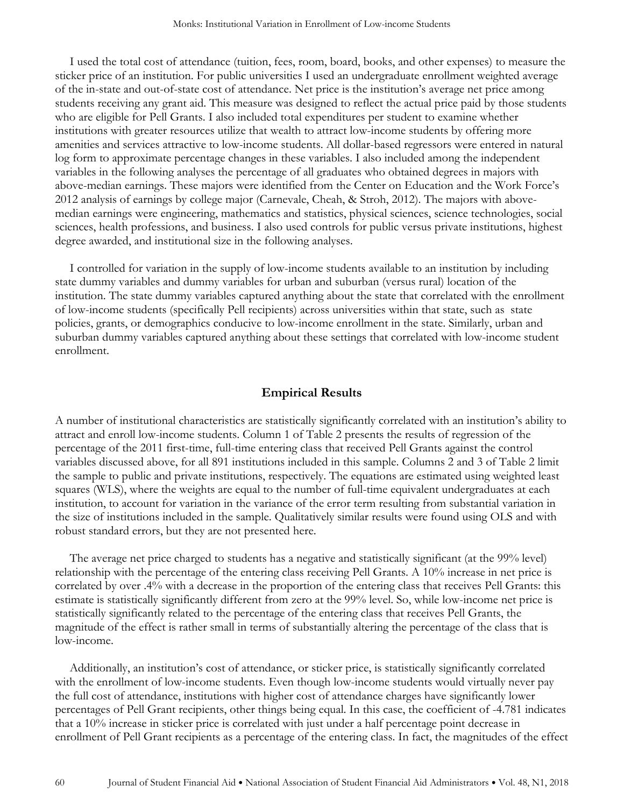I used the total cost of attendance (tuition, fees, room, board, books, and other expenses) to measure the sticker price of an institution. For public universities I used an undergraduate enrollment weighted average of the in-state and out-of-state cost of attendance. Net price is the institution's average net price among students receiving any grant aid. This measure was designed to reflect the actual price paid by those students who are eligible for Pell Grants. I also included total expenditures per student to examine whether institutions with greater resources utilize that wealth to attract low-income students by offering more amenities and services attractive to low-income students. All dollar-based regressors were entered in natural log form to approximate percentage changes in these variables. I also included among the independent variables in the following analyses the percentage of all graduates who obtained degrees in majors with above-median earnings. These majors were identified from the Center on Education and the Work Force's 2012 analysis of earnings by college major (Carnevale, Cheah, & Stroh, 2012). The majors with abovemedian earnings were engineering, mathematics and statistics, physical sciences, science technologies, social sciences, health professions, and business. I also used controls for public versus private institutions, highest degree awarded, and institutional size in the following analyses.

I controlled for variation in the supply of low-income students available to an institution by including state dummy variables and dummy variables for urban and suburban (versus rural) location of the institution. The state dummy variables captured anything about the state that correlated with the enrollment of low-income students (specifically Pell recipients) across universities within that state, such as state policies, grants, or demographics conducive to low-income enrollment in the state. Similarly, urban and suburban dummy variables captured anything about these settings that correlated with low-income student enrollment.

### **Empirical Results**

A number of institutional characteristics are statistically significantly correlated with an institution's ability to attract and enroll low-income students. Column 1 of Table 2 presents the results of regression of the percentage of the 2011 first-time, full-time entering class that received Pell Grants against the control variables discussed above, for all 891 institutions included in this sample. Columns 2 and 3 of Table 2 limit the sample to public and private institutions, respectively. The equations are estimated using weighted least squares (WLS), where the weights are equal to the number of full-time equivalent undergraduates at each institution, to account for variation in the variance of the error term resulting from substantial variation in the size of institutions included in the sample. Qualitatively similar results were found using OLS and with robust standard errors, but they are not presented here.

The average net price charged to students has a negative and statistically significant (at the 99% level) relationship with the percentage of the entering class receiving Pell Grants. A 10% increase in net price is correlated by over .4% with a decrease in the proportion of the entering class that receives Pell Grants: this estimate is statistically significantly different from zero at the 99% level. So, while low-income net price is statistically significantly related to the percentage of the entering class that receives Pell Grants, the magnitude of the effect is rather small in terms of substantially altering the percentage of the class that is low-income.

Additionally, an institution's cost of attendance, or sticker price, is statistically significantly correlated with the enrollment of low-income students. Even though low-income students would virtually never pay the full cost of attendance, institutions with higher cost of attendance charges have significantly lower percentages of Pell Grant recipients, other things being equal. In this case, the coefficient of -4.781 indicates that a 10% increase in sticker price is correlated with just under a half percentage point decrease in enrollment of Pell Grant recipients as a percentage of the entering class. In fact, the magnitudes of the effect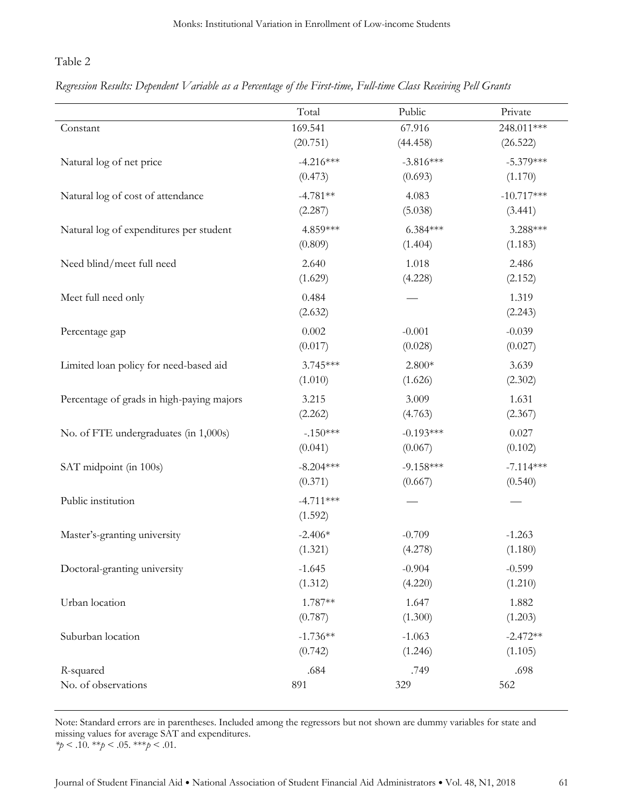# Table 2

# *Regression Results: Dependent Variable as a Percentage of the First-time, Full-time Class Receiving Pell Grants*

|                                           | Total                  | Public      | Private          |
|-------------------------------------------|------------------------|-------------|------------------|
| Constant                                  | 169.541                | 67.916      | 248.011***       |
|                                           | (20.751)               | (44.458)    | (26.522)         |
| Natural log of net price                  | $-4.216***$            | $-3.816***$ | $-5.379***$      |
|                                           | (0.473)                | (0.693)     | (1.170)          |
| Natural log of cost of attendance         | $-4.781**$             | 4.083       | $-10.717***$     |
|                                           | (2.287)                | (5.038)     | (3.441)          |
| Natural log of expenditures per student   | 4.859***               | $6.384***$  | 3.288***         |
|                                           | (0.809)                | (1.404)     | (1.183)          |
| Need blind/meet full need                 | 2.640                  | 1.018       | 2.486            |
|                                           | (1.629)                | (4.228)     | (2.152)          |
| Meet full need only                       | 0.484<br>(2.632)       |             | 1.319<br>(2.243) |
| Percentage gap                            | 0.002                  | $-0.001$    | $-0.039$         |
|                                           | (0.017)                | (0.028)     | (0.027)          |
| Limited loan policy for need-based aid    | 3.745***               | $2.800*$    | 3.639            |
|                                           | (1.010)                | (1.626)     | (2.302)          |
| Percentage of grads in high-paying majors | 3.215                  | 3.009       | 1.631            |
|                                           | (2.262)                | (4.763)     | (2.367)          |
| No. of FTE undergraduates (in 1,000s)     | $-.150***$             | $-0.193***$ | 0.027            |
|                                           | (0.041)                | (0.067)     | (0.102)          |
| SAT midpoint (in 100s)                    | $-8.204***$            | $-9.158***$ | $-7.114***$      |
|                                           | (0.371)                | (0.667)     | (0.540)          |
| Public institution                        | $-4.711***$<br>(1.592) |             |                  |
| Master's-granting university              | $-2.406*$              | $-0.709$    | $-1.263$         |
|                                           | (1.321)                | (4.278)     | (1.180)          |
| Doctoral-granting university              | $-1.645$               | $-0.904$    | $-0.599$         |
|                                           | (1.312)                | (4.220)     | (1.210)          |
| Urban location                            | 1.787**                | 1.647       | 1.882            |
|                                           | (0.787)                | (1.300)     | (1.203)          |
| Suburban location                         | $-1.736**$             | $-1.063$    | $-2.472**$       |
|                                           | (0.742)                | (1.246)     | (1.105)          |
| R-squared                                 | .684                   | .749        | .698             |
| No. of observations                       | 891                    | 329         | 562              |

Note: Standard errors are in parentheses. Included among the regressors but not shown are dummy variables for state and missing values for average SAT and expenditures. *\*p* < .10. \*\**p* < .05. \*\*\**p* < .01.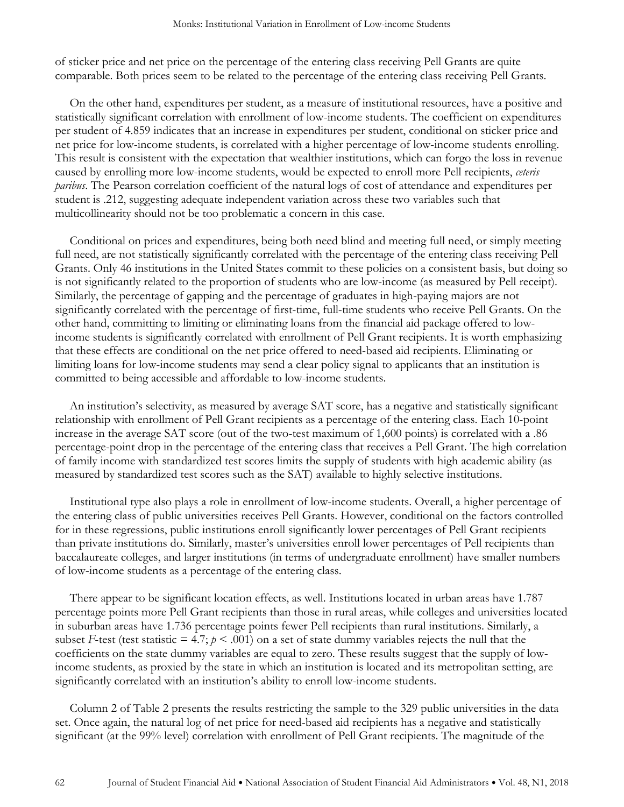of sticker price and net price on the percentage of the entering class receiving Pell Grants are quite comparable. Both prices seem to be related to the percentage of the entering class receiving Pell Grants.

On the other hand, expenditures per student, as a measure of institutional resources, have a positive and statistically significant correlation with enrollment of low-income students. The coefficient on expenditures per student of 4.859 indicates that an increase in expenditures per student, conditional on sticker price and net price for low-income students, is correlated with a higher percentage of low-income students enrolling. This result is consistent with the expectation that wealthier institutions, which can forgo the loss in revenue caused by enrolling more low-income students, would be expected to enroll more Pell recipients, *ceteris paribus*. The Pearson correlation coefficient of the natural logs of cost of attendance and expenditures per student is .212, suggesting adequate independent variation across these two variables such that multicollinearity should not be too problematic a concern in this case.

Conditional on prices and expenditures, being both need blind and meeting full need, or simply meeting full need, are not statistically significantly correlated with the percentage of the entering class receiving Pell Grants. Only 46 institutions in the United States commit to these policies on a consistent basis, but doing so is not significantly related to the proportion of students who are low-income (as measured by Pell receipt). Similarly, the percentage of gapping and the percentage of graduates in high-paying majors are not significantly correlated with the percentage of first-time, full-time students who receive Pell Grants. On the other hand, committing to limiting or eliminating loans from the financial aid package offered to lowincome students is significantly correlated with enrollment of Pell Grant recipients. It is worth emphasizing that these effects are conditional on the net price offered to need-based aid recipients. Eliminating or limiting loans for low-income students may send a clear policy signal to applicants that an institution is committed to being accessible and affordable to low-income students.

An institution's selectivity, as measured by average SAT score, has a negative and statistically significant relationship with enrollment of Pell Grant recipients as a percentage of the entering class. Each 10-point increase in the average SAT score (out of the two-test maximum of 1,600 points) is correlated with a .86 percentage-point drop in the percentage of the entering class that receives a Pell Grant. The high correlation of family income with standardized test scores limits the supply of students with high academic ability (as measured by standardized test scores such as the SAT) available to highly selective institutions.

Institutional type also plays a role in enrollment of low-income students. Overall, a higher percentage of the entering class of public universities receives Pell Grants. However, conditional on the factors controlled for in these regressions, public institutions enroll significantly lower percentages of Pell Grant recipients than private institutions do. Similarly, master's universities enroll lower percentages of Pell recipients than baccalaureate colleges, and larger institutions (in terms of undergraduate enrollment) have smaller numbers of low-income students as a percentage of the entering class.

There appear to be significant location effects, as well. Institutions located in urban areas have 1.787 percentage points more Pell Grant recipients than those in rural areas, while colleges and universities located in suburban areas have 1.736 percentage points fewer Pell recipients than rural institutions. Similarly, a subset *F*-test (test statistic = 4.7;  $p < .001$ ) on a set of state dummy variables rejects the null that the coefficients on the state dummy variables are equal to zero. These results suggest that the supply of lowincome students, as proxied by the state in which an institution is located and its metropolitan setting, are significantly correlated with an institution's ability to enroll low-income students.

Column 2 of Table 2 presents the results restricting the sample to the 329 public universities in the data set. Once again, the natural log of net price for need-based aid recipients has a negative and statistically significant (at the 99% level) correlation with enrollment of Pell Grant recipients. The magnitude of the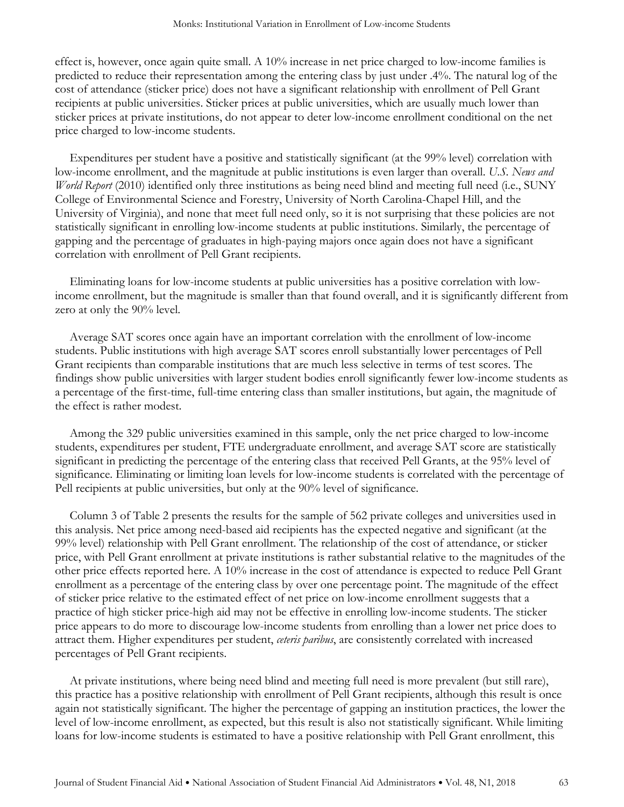effect is, however, once again quite small. A 10% increase in net price charged to low-income families is predicted to reduce their representation among the entering class by just under .4%. The natural log of the cost of attendance (sticker price) does not have a significant relationship with enrollment of Pell Grant recipients at public universities. Sticker prices at public universities, which are usually much lower than sticker prices at private institutions, do not appear to deter low-income enrollment conditional on the net price charged to low-income students.

Expenditures per student have a positive and statistically significant (at the 99% level) correlation with low-income enrollment, and the magnitude at public institutions is even larger than overall. *U.S. News and World Report* (2010) identified only three institutions as being need blind and meeting full need (i.e., SUNY College of Environmental Science and Forestry, University of North Carolina-Chapel Hill, and the University of Virginia), and none that meet full need only, so it is not surprising that these policies are not statistically significant in enrolling low-income students at public institutions. Similarly, the percentage of gapping and the percentage of graduates in high-paying majors once again does not have a significant correlation with enrollment of Pell Grant recipients.

Eliminating loans for low-income students at public universities has a positive correlation with lowincome enrollment, but the magnitude is smaller than that found overall, and it is significantly different from zero at only the 90% level.

Average SAT scores once again have an important correlation with the enrollment of low-income students. Public institutions with high average SAT scores enroll substantially lower percentages of Pell Grant recipients than comparable institutions that are much less selective in terms of test scores. The findings show public universities with larger student bodies enroll significantly fewer low-income students as a percentage of the first-time, full-time entering class than smaller institutions, but again, the magnitude of the effect is rather modest.

Among the 329 public universities examined in this sample, only the net price charged to low-income students, expenditures per student, FTE undergraduate enrollment, and average SAT score are statistically significant in predicting the percentage of the entering class that received Pell Grants, at the 95% level of significance. Eliminating or limiting loan levels for low-income students is correlated with the percentage of Pell recipients at public universities, but only at the 90% level of significance.

Column 3 of Table 2 presents the results for the sample of 562 private colleges and universities used in this analysis. Net price among need-based aid recipients has the expected negative and significant (at the 99% level) relationship with Pell Grant enrollment. The relationship of the cost of attendance, or sticker price, with Pell Grant enrollment at private institutions is rather substantial relative to the magnitudes of the other price effects reported here. A 10% increase in the cost of attendance is expected to reduce Pell Grant enrollment as a percentage of the entering class by over one percentage point. The magnitude of the effect of sticker price relative to the estimated effect of net price on low-income enrollment suggests that a practice of high sticker price-high aid may not be effective in enrolling low-income students. The sticker price appears to do more to discourage low-income students from enrolling than a lower net price does to attract them. Higher expenditures per student, *ceteris paribus*, are consistently correlated with increased percentages of Pell Grant recipients.

At private institutions, where being need blind and meeting full need is more prevalent (but still rare), this practice has a positive relationship with enrollment of Pell Grant recipients, although this result is once again not statistically significant. The higher the percentage of gapping an institution practices, the lower the level of low-income enrollment, as expected, but this result is also not statistically significant. While limiting loans for low-income students is estimated to have a positive relationship with Pell Grant enrollment, this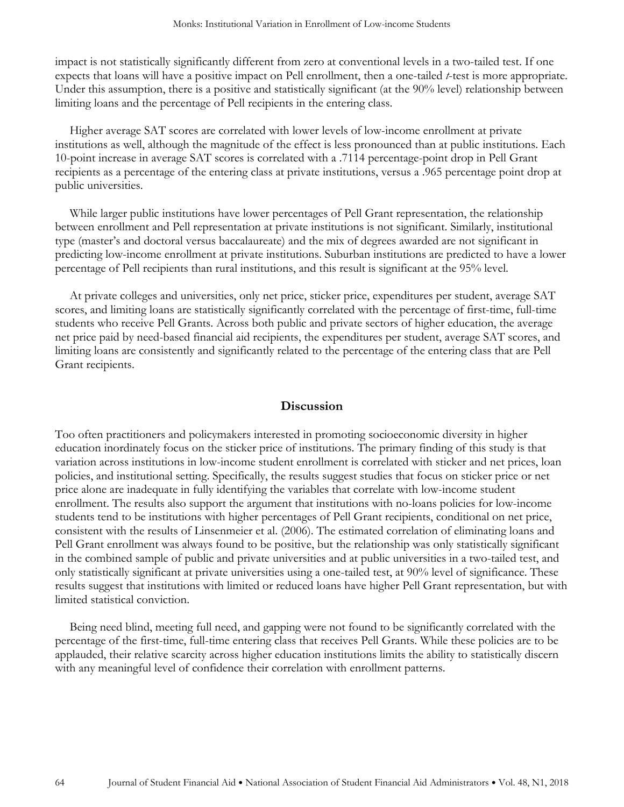impact is not statistically significantly different from zero at conventional levels in a two-tailed test. If one expects that loans will have a positive impact on Pell enrollment, then a one-tailed *t*-test is more appropriate. Under this assumption, there is a positive and statistically significant (at the 90% level) relationship between limiting loans and the percentage of Pell recipients in the entering class.

Higher average SAT scores are correlated with lower levels of low-income enrollment at private institutions as well, although the magnitude of the effect is less pronounced than at public institutions. Each 10-point increase in average SAT scores is correlated with a .7114 percentage-point drop in Pell Grant recipients as a percentage of the entering class at private institutions, versus a .965 percentage point drop at public universities.

While larger public institutions have lower percentages of Pell Grant representation, the relationship between enrollment and Pell representation at private institutions is not significant. Similarly, institutional type (master's and doctoral versus baccalaureate) and the mix of degrees awarded are not significant in predicting low-income enrollment at private institutions. Suburban institutions are predicted to have a lower percentage of Pell recipients than rural institutions, and this result is significant at the 95% level.

At private colleges and universities, only net price, sticker price, expenditures per student, average SAT scores, and limiting loans are statistically significantly correlated with the percentage of first-time, full-time students who receive Pell Grants. Across both public and private sectors of higher education, the average net price paid by need-based financial aid recipients, the expenditures per student, average SAT scores, and limiting loans are consistently and significantly related to the percentage of the entering class that are Pell Grant recipients.

#### **Discussion**

Too often practitioners and policymakers interested in promoting socioeconomic diversity in higher education inordinately focus on the sticker price of institutions. The primary finding of this study is that variation across institutions in low-income student enrollment is correlated with sticker and net prices, loan policies, and institutional setting. Specifically, the results suggest studies that focus on sticker price or net price alone are inadequate in fully identifying the variables that correlate with low-income student enrollment. The results also support the argument that institutions with no-loans policies for low-income students tend to be institutions with higher percentages of Pell Grant recipients, conditional on net price, consistent with the results of Linsenmeier et al. (2006). The estimated correlation of eliminating loans and Pell Grant enrollment was always found to be positive, but the relationship was only statistically significant in the combined sample of public and private universities and at public universities in a two-tailed test, and only statistically significant at private universities using a one-tailed test, at 90% level of significance. These results suggest that institutions with limited or reduced loans have higher Pell Grant representation, but with limited statistical conviction.

Being need blind, meeting full need, and gapping were not found to be significantly correlated with the percentage of the first-time, full-time entering class that receives Pell Grants. While these policies are to be applauded, their relative scarcity across higher education institutions limits the ability to statistically discern with any meaningful level of confidence their correlation with enrollment patterns.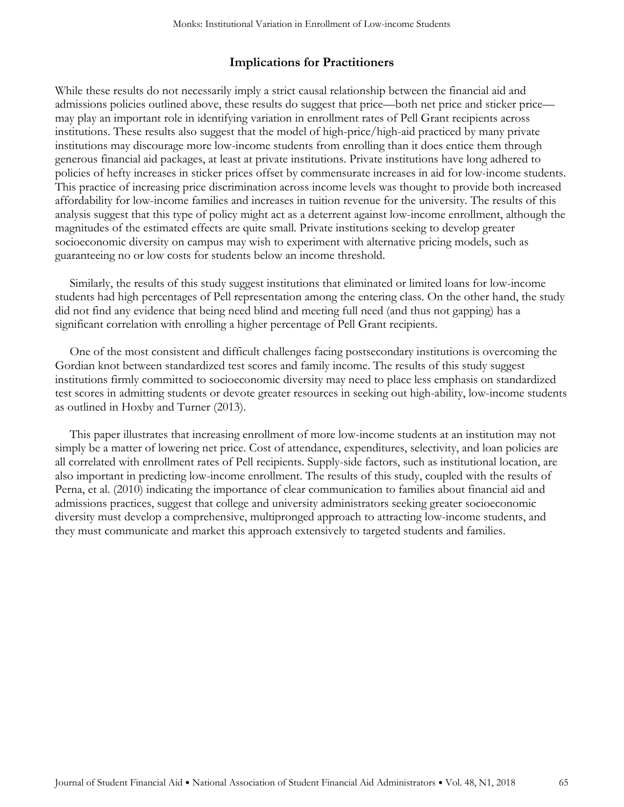# **Implications for Practitioners**

While these results do not necessarily imply a strict causal relationship between the financial aid and admissions policies outlined above, these results do suggest that price—both net price and sticker price may play an important role in identifying variation in enrollment rates of Pell Grant recipients across institutions. These results also suggest that the model of high-price/high-aid practiced by many private institutions may discourage more low-income students from enrolling than it does entice them through generous financial aid packages, at least at private institutions. Private institutions have long adhered to policies of hefty increases in sticker prices offset by commensurate increases in aid for low-income students. This practice of increasing price discrimination across income levels was thought to provide both increased affordability for low-income families and increases in tuition revenue for the university. The results of this analysis suggest that this type of policy might act as a deterrent against low-income enrollment, although the magnitudes of the estimated effects are quite small. Private institutions seeking to develop greater socioeconomic diversity on campus may wish to experiment with alternative pricing models, such as guaranteeing no or low costs for students below an income threshold.

Similarly, the results of this study suggest institutions that eliminated or limited loans for low-income students had high percentages of Pell representation among the entering class. On the other hand, the study did not find any evidence that being need blind and meeting full need (and thus not gapping) has a significant correlation with enrolling a higher percentage of Pell Grant recipients.

One of the most consistent and difficult challenges facing postsecondary institutions is overcoming the Gordian knot between standardized test scores and family income. The results of this study suggest institutions firmly committed to socioeconomic diversity may need to place less emphasis on standardized test scores in admitting students or devote greater resources in seeking out high-ability, low-income students as outlined in Hoxby and Turner (2013).

This paper illustrates that increasing enrollment of more low-income students at an institution may not simply be a matter of lowering net price. Cost of attendance, expenditures, selectivity, and loan policies are all correlated with enrollment rates of Pell recipients. Supply-side factors, such as institutional location, are also important in predicting low-income enrollment. The results of this study, coupled with the results of Perna, et al. (2010) indicating the importance of clear communication to families about financial aid and admissions practices, suggest that college and university administrators seeking greater socioeconomic diversity must develop a comprehensive, multipronged approach to attracting low-income students, and they must communicate and market this approach extensively to targeted students and families.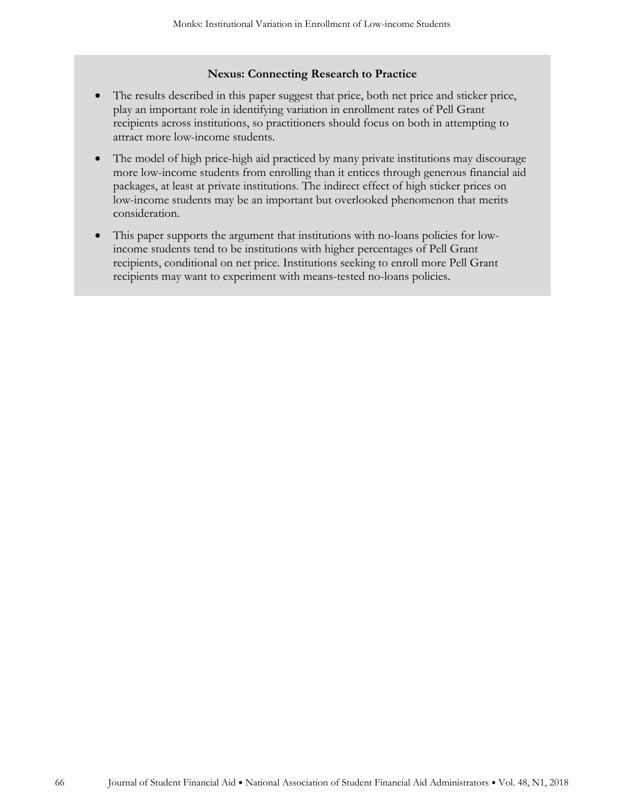#### **Nexus: Connecting Research to Practice**

- The results described in this paper suggest that price, both net price and sticker price, play an important role in identifying variation in enrollment rates of Pell Grant recipients across institutions, so practitioners should focus on both in attempting to attract more low-income students.
- The model of high price-high aid practiced by many private institutions may discourage more low-income students from enrolling than it entices through generous financial aid packages, at least at private institutions. The indirect effect of high sticker prices on low-income students may be an important but overlooked phenomenon that merits consideration.
- This paper supports the argument that institutions with no-loans policies for lowincome students tend to be institutions with higher percentages of Pell Grant recipients, conditional on net price. Institutions seeking to enroll more Pell Grant recipients may want to experiment with means-tested no-loans policies.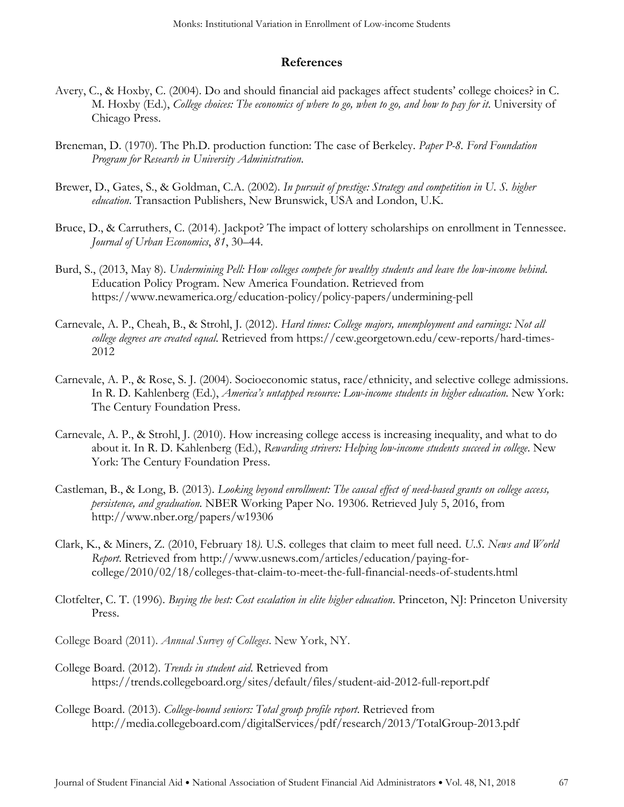## **References**

- Avery, C., & Hoxby, C. (2004). Do and should financial aid packages affect students' college choices? in C. M. Hoxby (Ed.), *College choices: The economics of where to go, when to go, and how to pay for it*. University of Chicago Press.
- Breneman, D. (1970). The Ph.D. production function: The case of Berkeley. *Paper P-8. Ford Foundation Program for Research in University Administration*.
- Brewer, D., Gates, S., & Goldman, C.A. (2002). *In pursuit of prestige: Strategy and competition in U. S. higher education*. Transaction Publishers, New Brunswick, USA and London, U.K.
- Bruce, D., & Carruthers, C. (2014). Jackpot? The impact of lottery scholarships on enrollment in Tennessee. *Journal of Urban Economics*, *81*, 30–44.
- Burd, S., (2013, May 8). *Undermining Pell: How colleges compete for wealthy students and leave the low-income behind*. Education Policy Program. New America Foundation. Retrieved from https://www.newamerica.org/education-policy/policy-papers/undermining-pell
- Carnevale, A. P., Cheah, B., & Strohl, J. (2012). *Hard times: College majors, unemployment and earnings: Not all college degrees are created equal*. Retrieved from https://cew.georgetown.edu/cew-reports/hard-times-2012
- Carnevale, A. P., & Rose, S. J. (2004). Socioeconomic status, race/ethnicity, and selective college admissions. In R. D. Kahlenberg (Ed.), *America's untapped resource: Low-income students in higher education*. New York: The Century Foundation Press.
- Carnevale, A. P., & Strohl, J. (2010). How increasing college access is increasing inequality, and what to do about it. In R. D. Kahlenberg (Ed.), *Rewarding strivers: Helping low-income students succeed in college*. New York: The Century Foundation Press.
- Castleman, B., & Long, B. (2013). *Looking beyond enrollment: The causal effect of need-based grants on college access, persistence, and graduation.* NBER Working Paper No. 19306. Retrieved July 5, 2016, from http://www.nber.org/papers/w19306
- Clark, K., & Miners, Z. (2010, February 18*).* U.S. colleges that claim to meet full need. *U.S. News and World Report*. Retrieved from http://www.usnews.com/articles/education/paying-forcollege/2010/02/18/colleges-that-claim-to-meet-the-full-financial-needs-of-students.html
- Clotfelter, C. T. (1996). *Buying the best: Cost escalation in elite higher education*. Princeton, NJ: Princeton University Press.
- College Board (2011). *Annual Survey of Colleges*. New York, NY.
- College Board. (2012). *Trends in student aid*. Retrieved from https://trends.collegeboard.org/sites/default/files/student-aid-2012-full-report.pdf
- College Board. (2013). *College-bound seniors: Total group profile report*. Retrieved from http://media.collegeboard.com/digitalServices/pdf/research/2013/TotalGroup-2013.pdf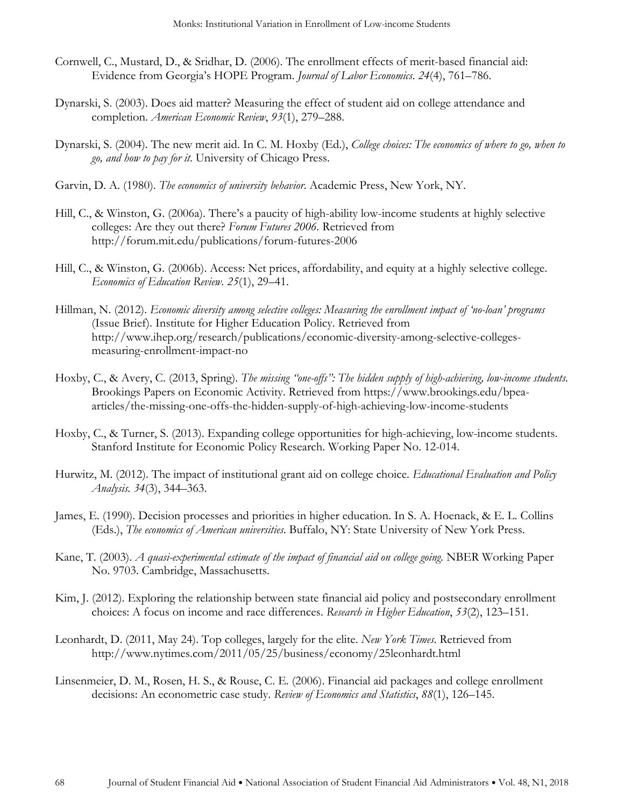- Cornwell, C., Mustard, D., & Sridhar, D. (2006). The enrollment effects of merit-based financial aid: Evidence from Georgia's HOPE Program. *Journal of Labor Economics*. *24*(4), 761–786.
- Dynarski, S. (2003). Does aid matter? Measuring the effect of student aid on college attendance and completion. *American Economic Review*, *93*(1), 279–288.
- Dynarski, S. (2004). The new merit aid. In C. M. Hoxby (Ed.), *College choices: The economics of where to go, when to go, and how to pay for it*. University of Chicago Press.
- Garvin, D. A. (1980). *The economics of university behavior*. Academic Press, New York, NY.
- Hill, C., & Winston, G. (2006a). There's a paucity of high-ability low-income students at highly selective colleges: Are they out there? *Forum Futures 2006.* Retrieved from http://forum.mit.edu/publications/forum-futures-2006
- Hill, C., & Winston, G. (2006b). Access: Net prices, affordability, and equity at a highly selective college. *Economics of Education Review*. *25*(1), 29–41.
- Hillman, N. (2012). *Economic diversity among selective colleges: Measuring the enrollment impact of 'no-loan' programs* (Issue Brief). Institute for Higher Education Policy. Retrieved from http://www.ihep.org/research/publications/economic-diversity-among-selective-collegesmeasuring-enrollment-impact-no
- Hoxby, C., & Avery, C. (2013, Spring). *The missing "one-offs": The hidden supply of high-achieving, low-income students.* Brookings Papers on Economic Activity. Retrieved from https://www.brookings.edu/bpeaarticles/the-missing-one-offs-the-hidden-supply-of-high-achieving-low-income-students
- Hoxby, C., & Turner, S. (2013). Expanding college opportunities for high-achieving, low-income students. Stanford Institute for Economic Policy Research. Working Paper No. 12-014.
- Hurwitz, M. (2012). The impact of institutional grant aid on college choice. *Educational Evaluation and Policy Analysis. 34*(3), 344–363.
- James, E. (1990). Decision processes and priorities in higher education. In S. A. Hoenack, & E. L. Collins (Eds.), *The economics of American universities*. Buffalo, NY: State University of New York Press.
- Kane, T. (2003). *A quasi-experimental estimate of the impact of financial aid on college going.* NBER Working Paper No. 9703. Cambridge, Massachusetts.
- Kim, J. (2012). Exploring the relationship between state financial aid policy and postsecondary enrollment choices: A focus on income and race differences. *Research in Higher Education*, *53*(2), 123–151.
- Leonhardt, D. (2011, May 24). Top colleges, largely for the elite. *New York Times*. Retrieved from http://www.nytimes.com/2011/05/25/business/economy/25leonhardt.html
- Linsenmeier, D. M., Rosen, H. S., & Rouse, C. E. (2006). Financial aid packages and college enrollment decisions: An econometric case study. *Review of Economics and Statistics*, *88*(1), 126–145.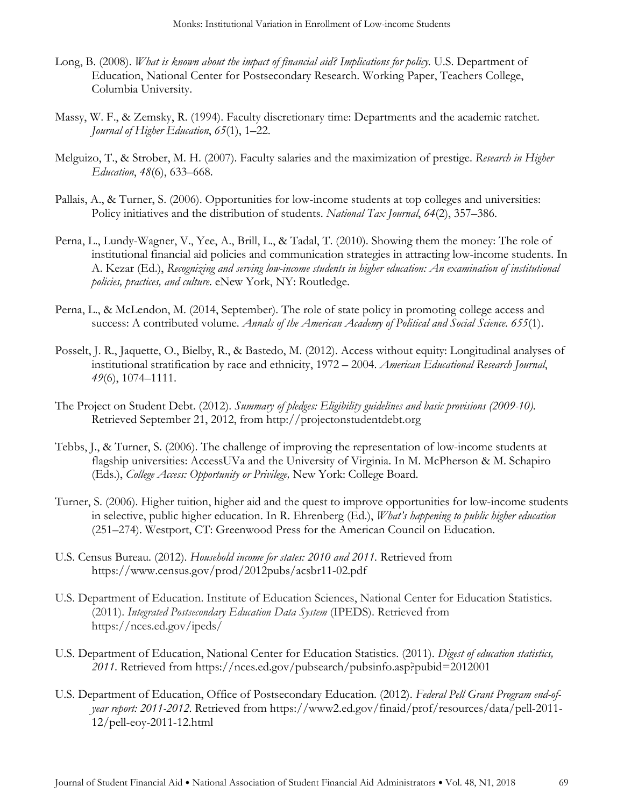- Long, B. (2008). *What is known about the impact of financial aid? Implications for policy.* U.S. Department of Education, National Center for Postsecondary Research. Working Paper, Teachers College, Columbia University.
- Massy, W. F., & Zemsky, R. (1994). Faculty discretionary time: Departments and the academic ratchet. *Journal of Higher Education*, *65*(1), 1–22.
- Melguizo, T., & Strober, M. H. (2007). Faculty salaries and the maximization of prestige. *Research in Higher Education*, *48*(6), 633–668.
- Pallais, A., & Turner, S. (2006). Opportunities for low-income students at top colleges and universities: Policy initiatives and the distribution of students. *National Tax Journal*, *64*(2), 357–386.
- Perna, L., Lundy-Wagner, V., Yee, A., Brill, L., & Tadal, T. (2010). Showing them the money: The role of institutional financial aid policies and communication strategies in attracting low-income students. In A. Kezar (Ed.), *Recognizing and serving low-income students in higher education: An examination of institutional policies, practices, and culture*. eNew York, NY: Routledge.
- Perna, L., & McLendon, M. (2014, September). The role of state policy in promoting college access and success: A contributed volume. *Annals of the American Academy of Political and Social Science*. *655*(1).
- Posselt, J. R., Jaquette, O., Bielby, R., & Bastedo, M. (2012). Access without equity: Longitudinal analyses of institutional stratification by race and ethnicity, 1972 – 2004. *American Educational Research Journal*, *49*(6), 1074–1111.
- The Project on Student Debt. (2012). *Summary of pledges: Eligibility guidelines and basic provisions (2009-10)*. Retrieved September 21, 2012, from http://projectonstudentdebt.org
- Tebbs, J., & Turner, S. (2006). The challenge of improving the representation of low-income students at flagship universities: AccessUVa and the University of Virginia. In M. McPherson & M. Schapiro (Eds.), *College Access: Opportunity or Privilege,* New York: College Board.
- Turner, S. (2006). Higher tuition, higher aid and the quest to improve opportunities for low-income students in selective, public higher education. In R. Ehrenberg (Ed.), *What's happening to public higher education* (251–274). Westport, CT: Greenwood Press for the American Council on Education.
- U.S. Census Bureau. (2012). *Household income for states: 2010 and 2011.* Retrieved from https://www.census.gov/prod/2012pubs/acsbr11-02.pdf
- U.S. Department of Education. Institute of Education Sciences, National Center for Education Statistics. (2011). *Integrated Postsecondary Education Data System* (IPEDS). Retrieved from https://nces.ed.gov/ipeds/
- U.S. Department of Education, National Center for Education Statistics. (2011). *Digest of education statistics, 2011*. Retrieved from https://nces.ed.gov/pubsearch/pubsinfo.asp?pubid=2012001
- U.S. Department of Education, Office of Postsecondary Education. (2012). *Federal Pell Grant Program end-ofyear report: 2011-2012*. Retrieved from https://www2.ed.gov/finaid/prof/resources/data/pell-2011- 12/pell-eoy-2011-12.html